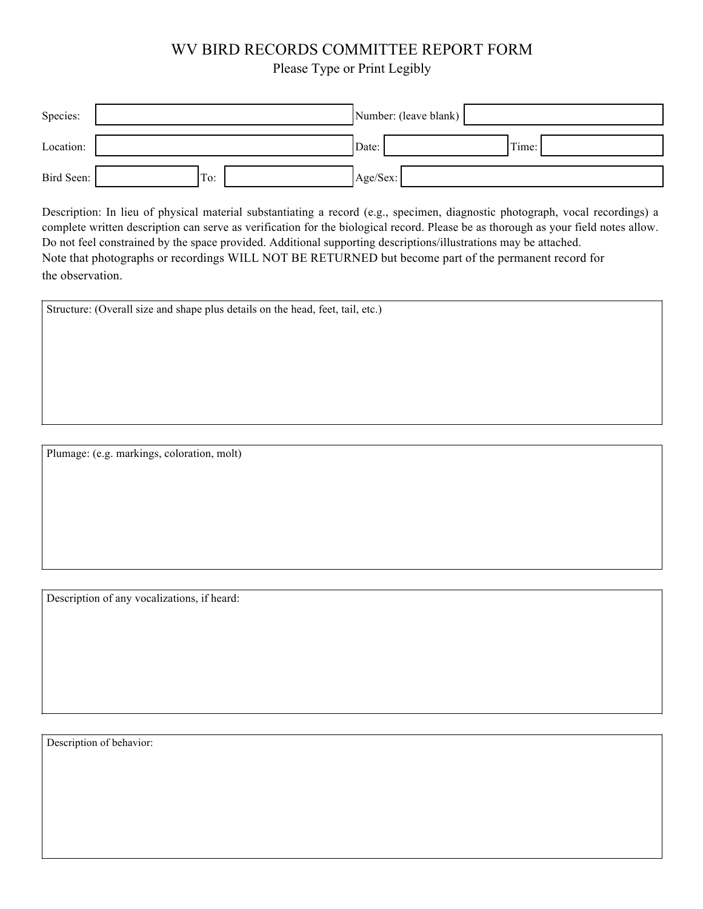## WV BIRD RECORDS COMMITTEE REPORT FORM

## Please Type or Print Legibly

| Species:            | Eurasian Collared-Dove | Number: (leave blank)            |
|---------------------|------------------------|----------------------------------|
|                     | Location: Dryfork, WV  | Date: 4/7/21<br>$T$ ime: 6:30 pm |
| Bird Seen: $4/6/21$ | To: 4/7/21             | Age/Sex: Adult                   |

Description: In lieu of physical material substantiating a record (e.g., specimen, diagnostic photograph, vocal recordings) a complete written description can serve as verification for the biological record. Please be as thorough as your field notes allow. Do not feel constrained by the space provided. Additional supporting descriptions/illustrations may be attached. Note that photographs or recordings WILL NOT BE RETURNED but become part of the permanent record for the observation.

| Structure: (Overall size and shape plus details on the head, feet, tail, etc.) |  |  |  |  |
|--------------------------------------------------------------------------------|--|--|--|--|
| See photos.                                                                    |  |  |  |  |

Plumage: (e.g. markings, coloration, molt) See photos.

Description of any vocalizations, if heard: Not applicable.

Description of behavior: Consorted with a flock of Mourning Doves. Behaved somewhat more skittishly than the Mourning Dove.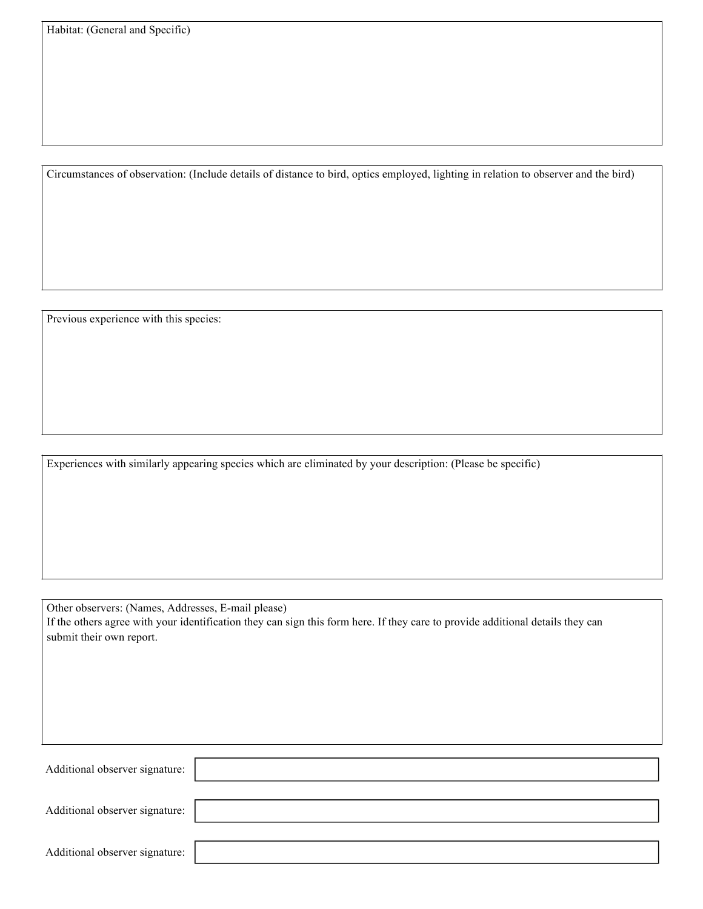Circumstances of observation: (Include details of distance to bird, optics employed, lighting in relation to observer and the bird) Benjamin McKean first saw the bird on April 6, and I went to check when he texted me, but had no luck that evening. When I arrived the next evening Ben had the bird in his scope.

Previous experience with this species: Have seen dozens if not hundreds out west. Also have listened to many calling on British crime shows.

Experiences with similarly appearing species which are eliminated by your description: (Please be specific) Larger and paler than Mourning Dove; diagnostic dark band on nape.

Other observers: (Names, Addresses, E-mail please) If the others agree with your identification they can sign this form here. If they care to provide additional details they can submit their own report.

Additional observer signature:

Additional observer signature:

Additional observer signature: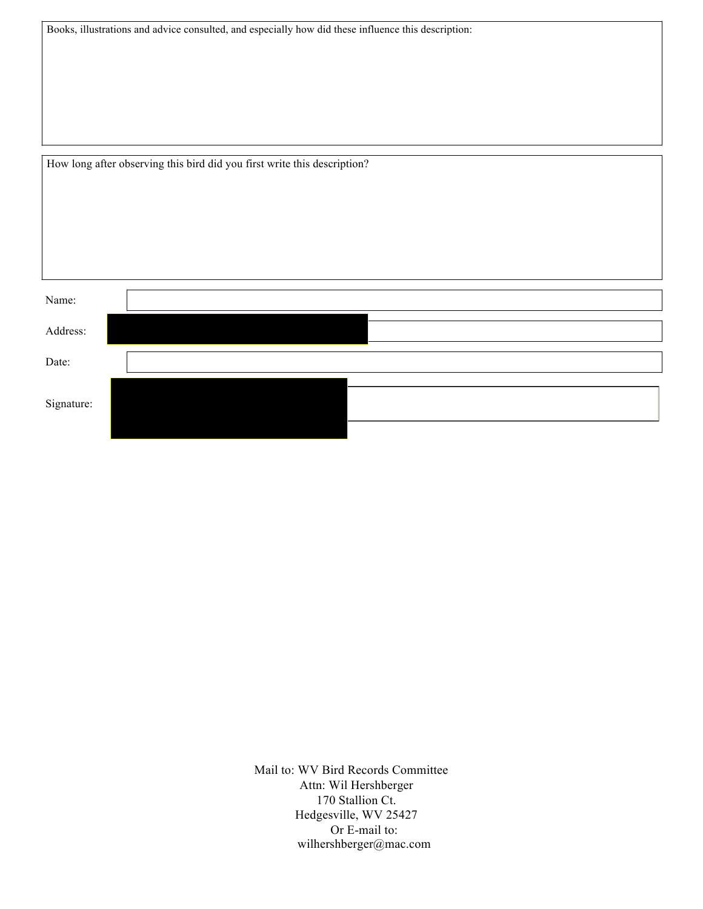|                                                                                      | Books, illustrations and advice consulted, and especially how did these influence this description:<br>Had Sibley in the car to show Ben on 4/6. No other need to consult. |  |  |  |
|--------------------------------------------------------------------------------------|----------------------------------------------------------------------------------------------------------------------------------------------------------------------------|--|--|--|
| How long after observing this bird did you first write this description?<br>11 days. |                                                                                                                                                                            |  |  |  |
| Name:                                                                                | <b>Casey Rucker</b>                                                                                                                                                        |  |  |  |
| Address:                                                                             |                                                                                                                                                                            |  |  |  |
| Date:                                                                                | 4/18/21                                                                                                                                                                    |  |  |  |
| Signature:                                                                           |                                                                                                                                                                            |  |  |  |

Mail to: WV Bird Records Committee Attn: Wil Hershberger 170 Stallion Ct. Hedgesville, WV 25427 Or E-mail to: wilhershberger@mac.com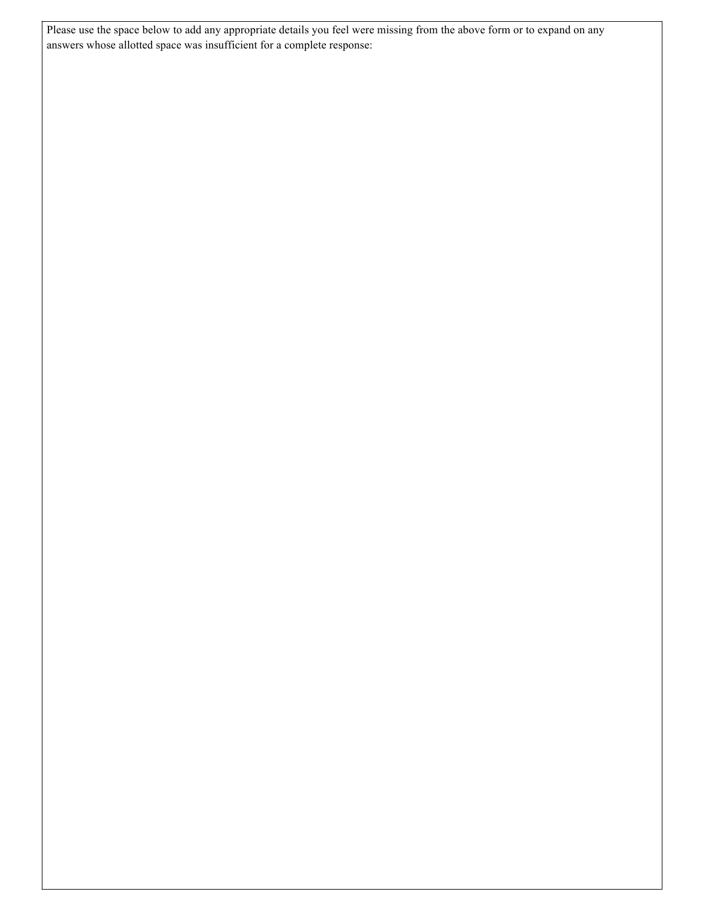Please use the space below to add any appropriate details you feel were missing from the above form or to expand on any answers whose allotted space was insufficient for a complete response:

Good luck to this bird if it's looking for a mate! My friend Elaine George might have seen one in Canaan Valley on April 9, but never got a second look.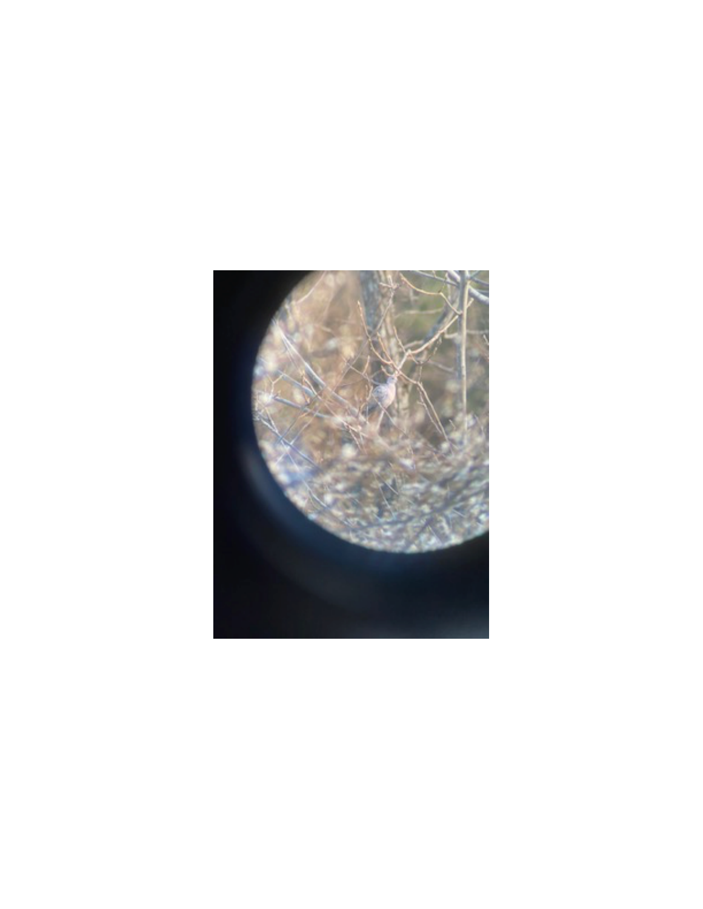